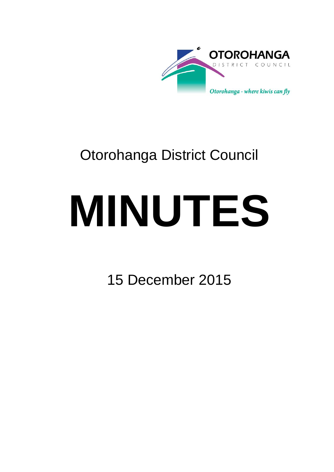

## Otorohanga District Council

# **MINUTES**

15 December 2015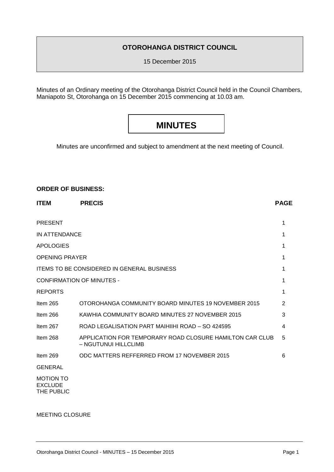#### **OTOROHANGA DISTRICT COUNCIL**

15 December 2015

Minutes of an Ordinary meeting of the Otorohanga District Council held in the Council Chambers, Maniapoto St, Otorohanga on 15 December 2015 commencing at 10.03 am.

### **MINUTES**

Minutes are unconfirmed and subject to amendment at the next meeting of Council.

#### **ORDER OF BUSINESS:**

| <b>ITEM</b>                                       | <b>PRECIS</b>                                                                    | <b>PAGE</b>    |
|---------------------------------------------------|----------------------------------------------------------------------------------|----------------|
| <b>PRESENT</b>                                    |                                                                                  | 1              |
| IN ATTENDANCE                                     |                                                                                  | 1              |
| <b>APOLOGIES</b>                                  |                                                                                  | 1              |
| <b>OPENING PRAYER</b>                             |                                                                                  | 1              |
| <b>ITEMS TO BE CONSIDERED IN GENERAL BUSINESS</b> |                                                                                  |                |
| <b>CONFIRMATION OF MINUTES -</b>                  |                                                                                  |                |
| <b>REPORTS</b>                                    |                                                                                  | 1              |
| Item $265$                                        | OTOROHANGA COMMUNITY BOARD MINUTES 19 NOVEMBER 2015                              | $\overline{2}$ |
| Item 266                                          | KAWHIA COMMUNITY BOARD MINUTES 27 NOVEMBER 2015                                  | 3              |
| Item 267                                          | ROAD LEGALISATION PART MAIHIIHI ROAD - SO 424595                                 | 4              |
| Item 268                                          | APPLICATION FOR TEMPORARY ROAD CLOSURE HAMILTON CAR CLUB<br>- NGUTUNUI HILLCLIMB | 5              |
| Item 269                                          | ODC MATTERS REFFERRED FROM 17 NOVEMBER 2015                                      | 6              |
| <b>GENERAL</b>                                    |                                                                                  |                |
| <b>MOTION TO</b><br><b>EXCLUDE</b><br>THE PUBLIC  |                                                                                  |                |

MEETING CLOSURE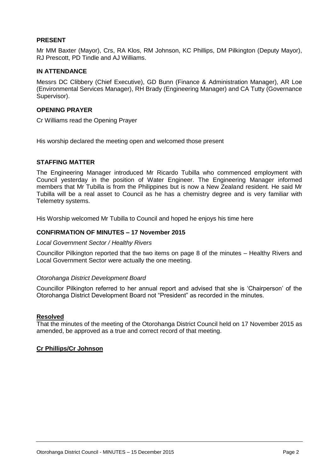#### **PRESENT**

Mr MM Baxter (Mayor), Crs, RA Klos, RM Johnson, KC Phillips, DM Pilkington (Deputy Mayor), RJ Prescott, PD Tindle and AJ Williams.

#### **IN ATTENDANCE**

Messrs DC Clibbery (Chief Executive), GD Bunn (Finance & Administration Manager), AR Loe (Environmental Services Manager), RH Brady (Engineering Manager) and CA Tutty (Governance Supervisor).

#### **OPENING PRAYER**

Cr Williams read the Opening Prayer

His worship declared the meeting open and welcomed those present

#### **STAFFING MATTER**

The Engineering Manager introduced Mr Ricardo Tubilla who commenced employment with Council yesterday in the position of Water Engineer. The Engineering Manager informed members that Mr Tubilla is from the Philippines but is now a New Zealand resident. He said Mr Tubilla will be a real asset to Council as he has a chemistry degree and is very familiar with Telemetry systems.

His Worship welcomed Mr Tubilla to Council and hoped he enjoys his time here

#### **CONFIRMATION OF MINUTES – 17 November 2015**

#### *Local Government Sector / Healthy Rivers*

Councillor Pilkington reported that the two items on page 8 of the minutes – Healthy Rivers and Local Government Sector were actually the one meeting.

#### *Otorohanga District Development Board*

Councillor Pilkington referred to her annual report and advised that she is 'Chairperson' of the Otorohanga District Development Board not "President" as recorded in the minutes.

#### **Resolved**

That the minutes of the meeting of the Otorohanga District Council held on 17 November 2015 as amended, be approved as a true and correct record of that meeting.

#### **Cr Phillips/Cr Johnson**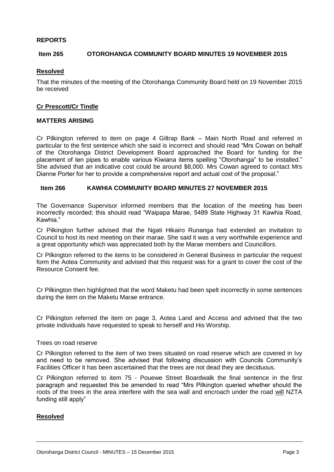#### **REPORTS**

#### **Item 265 OTOROHANGA COMMUNITY BOARD MINUTES 19 NOVEMBER 2015**

#### **Resolved**

That the minutes of the meeting of the Otorohanga Community Board held on 19 November 2015 be received

#### **Cr Prescott/Cr Tindle**

#### **MATTERS ARISING**

Cr Pilkington referred to item on page 4 Giltrap Bank – Main North Road and referred in particular to the first sentence which she said is incorrect and should read "Mrs Cowan on behalf of the Otorohanga District Development Board approached the Board for funding for the placement of ten pipes to enable various Kiwiana items spelling "Otorohanga" to be installed." She advised that an indicative cost could be around \$8,000. Mrs Cowan agreed to contact Mrs Dianne Porter for her to provide a comprehensive report and actual cost of the proposal."

#### **Item 266 KAWHIA COMMUNITY BOARD MINUTES 27 NOVEMBER 2015**

The Governance Supervisor informed members that the location of the meeting has been incorrectly recorded; this should read "Waipapa Marae, 5489 State Highway 31 Kawhia Road, Kawhia."

Cr Pilkington further advised that the Ngati Hikairo Runanga had extended an invitation to Council to host its next meeting on their marae. She said it was a very worthwhile experience and a great opportunity which was appreciated both by the Marae members and Councillors.

Cr Pilkington referred to the items to be considered in General Business in particular the request form the Aotea Community and advised that this request was for a grant to cover the cost of the Resource Consent fee.

Cr Pilkington then highlighted that the word Maketu had been spelt incorrectly in some sentences during the item on the Maketu Marae entrance.

Cr Pilkington referred the item on page 3, Aotea Land and Access and advised that the two private individuals have requested to speak to herself and His Worship.

#### Trees on road reserve

Cr Pilkington referred to the item of two trees situated on road reserve which are covered in Ivy and need to be removed. She advised that following discussion with Councils Community's Facilities Officer it has been ascertained that the trees are not dead they are deciduous.

Cr Pilkington referred to item 75 - Pouewe Street Boardwalk the final sentence in the first paragraph and requested this be amended to read "Mrs Pilkington queried whether should the roots of the trees in the area interfere with the sea wall and encroach under the road will NZTA funding still apply"

#### **Resolved**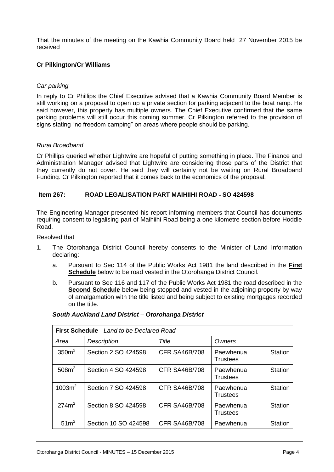That the minutes of the meeting on the Kawhia Community Board held 27 November 2015 be received

#### **Cr Pilkington/Cr Williams**

#### *Car parking*

In reply to Cr Phillips the Chief Executive advised that a Kawhia Community Board Member is still working on a proposal to open up a private section for parking adjacent to the boat ramp. He said however, this property has multiple owners. The Chief Executive confirmed that the same parking problems will still occur this coming summer. Cr Pilkington referred to the provision of signs stating "no freedom camping" on areas where people should be parking.

#### *Rural Broadband*

Cr Phillips queried whether Lightwire are hopeful of putting something in place. The Finance and Administration Manager advised that Lightwire are considering those parts of the District that they currently do not cover. He said they will certainly not be waiting on Rural Broadband Funding. Cr Pilkington reported that it comes back to the economics of the proposal.

#### **Item 267: ROAD LEGALISATION PART MAIHIIHI ROAD – SO 424598**

The Engineering Manager presented his report informing members that Council has documents requiring consent to legalising part of Maihiihi Road being a one kilometre section before Hoddle Road.

Resolved that

- 1. The Otorohanga District Council hereby consents to the Minister of Land Information declaring:
	- a. Pursuant to Sec 114 of the Public Works Act 1981 the land described in the **First Schedule** below to be road vested in the Otorohanga District Council.
	- b. Pursuant to Sec 116 and 117 of the Public Works Act 1981 the road described in the **Second Schedule** below being stopped and vested in the adjoining property by way of amalgamation with the title listed and being subject to existing mortgages recorded on the title.

#### *South Auckland Land District – Otorohanga District*

| <b>First Schedule - Land to be Declared Road</b> |                      |                      |                              |                |  |  |  |
|--------------------------------------------------|----------------------|----------------------|------------------------------|----------------|--|--|--|
| Area                                             | <b>Description</b>   | Title                | Owners                       |                |  |  |  |
| 350 <sup>2</sup>                                 | Section 2 SO 424598  | <b>CFR SA46B/708</b> | Paewhenua<br>Trustees        | <b>Station</b> |  |  |  |
| 508m <sup>2</sup>                                | Section 4 SO 424598  | <b>CFR SA46B/708</b> | Paewhenua<br><b>Trustees</b> | <b>Station</b> |  |  |  |
| 1003m <sup>2</sup>                               | Section 7 SO 424598  | <b>CFR SA46B/708</b> | Paewhenua<br>Trustees        | <b>Station</b> |  |  |  |
| 274m <sup>2</sup>                                | Section 8 SO 424598  | <b>CFR SA46B/708</b> | Paewhenua<br><b>Trustees</b> | <b>Station</b> |  |  |  |
| 51 <sup>2</sup>                                  | Section 10 SO 424598 | <b>CFR SA46B/708</b> | Paewhenua                    | <b>Station</b> |  |  |  |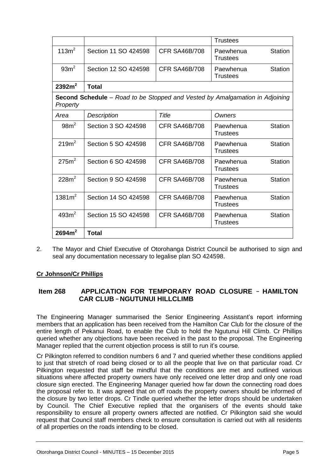|                                                                                                 |                      |                      | <b>Trustees</b>                                |  |  |  |
|-------------------------------------------------------------------------------------------------|----------------------|----------------------|------------------------------------------------|--|--|--|
| 113m <sup>2</sup>                                                                               | Section 11 SO 424598 | <b>CFR SA46B/708</b> | Paewhenua<br><b>Station</b><br><b>Trustees</b> |  |  |  |
| 93m <sup>2</sup>                                                                                | Section 12 SO 424598 | <b>CFR SA46B/708</b> | Paewhenua<br><b>Station</b><br><b>Trustees</b> |  |  |  |
| 2392m <sup>2</sup>                                                                              | <b>Total</b>         |                      |                                                |  |  |  |
| <b>Second Schedule</b> – Road to be Stopped and Vested by Amalgamation in Adjoining<br>Property |                      |                      |                                                |  |  |  |
| Area                                                                                            | <b>Description</b>   | Title                | Owners                                         |  |  |  |
| 98m <sup>2</sup>                                                                                | Section 3 SO 424598  | <b>CFR SA46B/708</b> | <b>Station</b><br>Paewhenua<br><b>Trustees</b> |  |  |  |
| 219m <sup>2</sup>                                                                               | Section 5 SO 424598  | <b>CFR SA46B/708</b> | Paewhenua<br><b>Station</b><br><b>Trustees</b> |  |  |  |
| 275m <sup>2</sup>                                                                               | Section 6 SO 424598  | <b>CFR SA46B/708</b> | Paewhenua<br><b>Station</b><br><b>Trustees</b> |  |  |  |
| 228m <sup>2</sup>                                                                               | Section 9 SO 424598  | <b>CFR SA46B/708</b> | <b>Station</b><br>Paewhenua<br><b>Trustees</b> |  |  |  |
| 1381m <sup>2</sup>                                                                              | Section 14 SO 424598 | <b>CFR SA46B/708</b> | <b>Station</b><br>Paewhenua<br><b>Trustees</b> |  |  |  |
| 493m <sup>2</sup>                                                                               | Section 15 SO 424598 | <b>CFR SA46B/708</b> | <b>Station</b><br>Paewhenua<br><b>Trustees</b> |  |  |  |
| 2694m <sup>2</sup>                                                                              | <b>Total</b>         |                      |                                                |  |  |  |

2. The Mayor and Chief Executive of Otorohanga District Council be authorised to sign and seal any documentation necessary to legalise plan SO 424598.

#### **Cr Johnson/Cr Phillips**

#### **Item 268 APPLICATION FOR TEMPORARY ROAD CLOSURE** – **HAMILTON CAR CLUB** – **NGUTUNUI HILLCLIMB**

The Engineering Manager summarised the Senior Engineering Assistant's report informing members that an application has been received from the Hamilton Car Club for the closure of the entire length of Pekanui Road, to enable the Club to hold the Ngutunui Hill Climb. Cr Phillips queried whether any objections have been received in the past to the proposal. The Engineering Manager replied that the current objection process is still to run it's course.

Cr Pilkington referred to condition numbers 6 and 7 and queried whether these conditions applied to just that stretch of road being closed or to all the people that live on that particular road. Cr Pilkington requested that staff be mindful that the conditions are met and outlined various situations where affected property owners have only received one letter drop and only one road closure sign erected. The Engineering Manager queried how far down the connecting road does the proposal refer to. It was agreed that on off roads the property owners should be informed of the closure by two letter drops. Cr Tindle queried whether the letter drops should be undertaken by Council. The Chief Executive replied that the organisers of the events should take responsibility to ensure all property owners affected are notified. Cr Pilkington said she would request that Council staff members check to ensure consultation is carried out with all residents of all properties on the roads intending to be closed.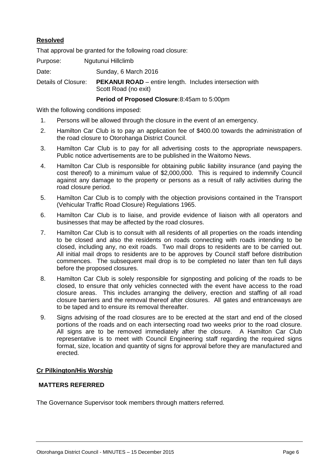#### **Resolved**

That approval be granted for the following road closure:

Purpose: Nautunui Hillclimb

Date: Sunday, 6 March 2016

Details of Closure: **PEKANUI ROAD** – entire length. Includes intersection with Scott Road (no exit)

#### **Period of Proposed Closure**:8:45am to 5:00pm

With the following conditions imposed:

- 1. Persons will be allowed through the closure in the event of an emergency.
- 2. Hamilton Car Club is to pay an application fee of \$400.00 towards the administration of the road closure to Otorohanga District Council.
- 3. Hamilton Car Club is to pay for all advertising costs to the appropriate newspapers. Public notice advertisements are to be published in the Waitomo News.
- 4. Hamilton Car Club is responsible for obtaining public liability insurance (and paying the cost thereof) to a minimum value of \$2,000,000. This is required to indemnify Council against any damage to the property or persons as a result of rally activities during the road closure period.
- 5. Hamilton Car Club is to comply with the objection provisions contained in the Transport (Vehicular Traffic Road Closure) Regulations 1965.
- 6. Hamilton Car Club is to liaise, and provide evidence of liaison with all operators and businesses that may be affected by the road closures.
- 7. Hamilton Car Club is to consult with all residents of all properties on the roads intending to be closed and also the residents on roads connecting with roads intending to be closed, including any, no exit roads. Two mail drops to residents are to be carried out. All initial mail drops to residents are to be approves by Council staff before distribution commences. The subsequent mail drop is to be completed no later than ten full days before the proposed closures.
- 8. Hamilton Car Club is solely responsible for signposting and policing of the roads to be closed, to ensure that only vehicles connected with the event have access to the road closure areas. This includes arranging the delivery, erection and staffing of all road closure barriers and the removal thereof after closures. All gates and entranceways are to be taped and to ensure its removal thereafter.
- 9. Signs advising of the road closures are to be erected at the start and end of the closed portions of the roads and on each intersecting road two weeks prior to the road closure. All signs are to be removed immediately after the closure. A Hamilton Car Club representative is to meet with Council Engineering staff regarding the required signs format, size, location and quantity of signs for approval before they are manufactured and erected.

#### **Cr Pilkington/His Worship**

#### **MATTERS REFERRED**

The Governance Supervisor took members through matters referred.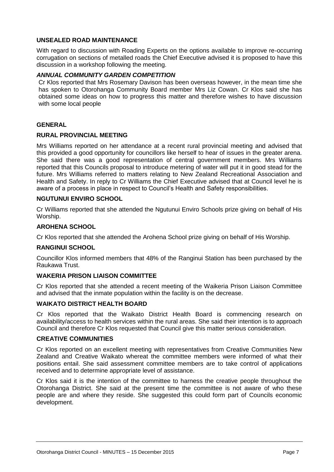#### **UNSEALED ROAD MAINTENANCE**

With regard to discussion with Roading Experts on the options available to improve re-occurring corrugation on sections of metalled roads the Chief Executive advised it is proposed to have this discussion in a workshop following the meeting.

#### *ANNUAL COMMUNITY GARDEN COMPETITION*

Cr Klos reported that Mrs Rosemary Davison has been overseas however, in the mean time she has spoken to Otorohanga Community Board member Mrs Liz Cowan. Cr Klos said she has obtained some ideas on how to progress this matter and therefore wishes to have discussion with some local people

#### **GENERAL**

#### **RURAL PROVINCIAL MEETING**

Mrs Williams reported on her attendance at a recent rural provincial meeting and advised that this provided a good opportunity for councillors like herself to hear of issues in the greater arena. She said there was a good representation of central government members. Mrs Williams reported that this Councils proposal to introduce metering of water will put it in good stead for the future. Mrs Williams referred to matters relating to New Zealand Recreational Association and Health and Safety. In reply to Cr Williams the Chief Executive advised that at Council level he is aware of a process in place in respect to Council's Health and Safety responsibilities.

#### **NGUTUNUI ENVIRO SCHOOL**

Cr Williams reported that she attended the Ngutunui Enviro Schools prize giving on behalf of His Worship.

#### **AROHENA SCHOOL**

Cr Klos reported that she attended the Arohena School prize giving on behalf of His Worship.

#### **RANGINUI SCHOOL**

Councillor Klos informed members that 48% of the Ranginui Station has been purchased by the Raukawa Trust.

#### **WAKERIA PRISON LIAISON COMMITTEE**

Cr Klos reported that she attended a recent meeting of the Waikeria Prison Liaison Committee and advised that the inmate population within the facility is on the decrease.

#### **WAIKATO DISTRICT HEALTH BOARD**

Cr Klos reported that the Waikato District Health Board is commencing research on availability/access to health services within the rural areas. She said their intention is to approach Council and therefore Cr Klos requested that Council give this matter serious consideration.

#### **CREATIVE COMMUNITIES**

Cr Klos reported on an excellent meeting with representatives from Creative Communities New Zealand and Creative Waikato whereat the committee members were informed of what their positions entail. She said assessment committee members are to take control of applications received and to determine appropriate level of assistance.

Cr Klos said it is the intention of the committee to harness the creative people throughout the Otorohanga District. She said at the present time the committee is not aware of who these people are and where they reside. She suggested this could form part of Councils economic development.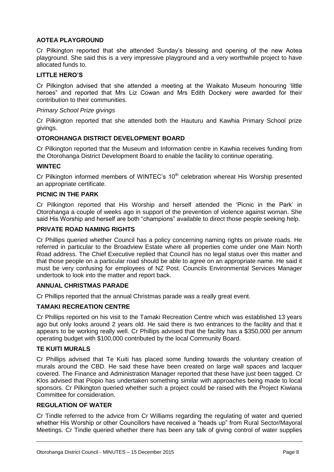#### **AOTEA PLAYGROUND**

Cr Pilkington reported that she attended Sunday's blessing and opening of the new Aotea playground. She said this is a very impressive playground and a very worthwhile project to have allocated funds to.

#### **LITTLE HERO'S**

Cr Pilkington advised that she attended a meeting at the Waikato Museum honouring 'little heroes" and reported that Mrs Liz Cowan and Mrs Edith Dockery were awarded for their contribution to their communities.

#### *Primary School Prize givings*

Cr Pilkington reported that she attended both the Hauturu and Kawhia Primary School prize givings.

#### **OTOROHANGA DISTRICT DEVELOPMENT BOARD**

Cr Pilkington reported that the Museum and Information centre in Kawhia receives funding from the Otorohanga District Development Board to enable the facility to continue operating.

#### **WINTEC**

Cr Pilkington informed members of WINTEC's 10<sup>th</sup> celebration whereat His Worship presented an appropriate certificate.

#### **PICNIC IN THE PARK**

Cr Pilkington reported that His Worship and herself attended the 'Picnic in the Park' in Otorohanga a couple of weeks ago in support of the prevention of violence against woman. She said His Worship and herself are both "champions" available to direct those people seeking help.

#### **PRIVATE ROAD NAMING RIGHTS**

Cr Phillips queried whether Council has a policy concerning naming rights on private roads. He referred in particular to the Broadview Estate where all properties come under one Main North Road address. The Chief Executive replied that Council has no legal status over this matter and that those people on a particular road should be able to agree on an appropriate name. He said it must be very confusing for employees of NZ Post. Councils Environmental Services Manager undertook to look into the matter and report back.

#### **ANNUAL CHRISTMAS PARADE**

Cr Phillips reported that the annual Christmas parade was a really great event.

#### **TAMAKI RECREATION CENTRE**

Cr Phillips reported on his visit to the Tamaki Recreation Centre which was established 13 years ago but only looks around 2 years old. He said there is two entrances to the facility and that it appears to be working really well. Cr Phillips advised that the facility has a \$350,000 per annum operating budget with \$100,000 contributed by the local Community Board.

#### **TE KUITI MURALS**

Cr Phillips advised that Te Kuiti has placed some funding towards the voluntary creation of murals around the CBD. He said these have been created on large wall spaces and lacquer covered. The Finance and Administration Manager reported that these have just been tagged. Cr Klos advised that Piopio has undertaken something similar with approaches being made to local sponsors. Cr Pilkington queried whether such a project could be raised with the Project Kiwiana Committee for consideration.

#### **REGULATION OF WATER**

Cr Tindle referred to the advice from Cr Williams regarding the regulating of water and queried whether His Worship or other Councillors have received a "heads up" from Rural Sector/Mayoral Meetings. Cr Tindle queried whether there has been any talk of giving control of water supplies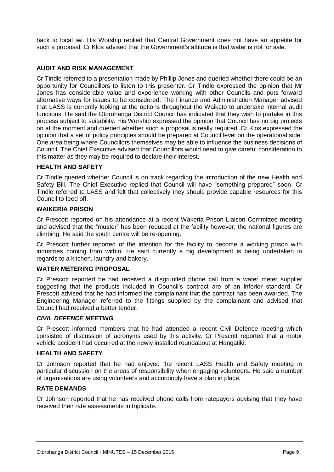back to local iwi. His Worship replied that Central Government does not have an appetite for such a proposal. Cr Klos advised that the Government's attitude is that water is not for sale.

#### **AUDIT AND RISK MANAGEMENT**

Cr Tindle referred to a presentation made by Phillip Jones and queried whether there could be an opportunity for Councillors to listen to this presenter. Cr Tindle expressed the opinion that Mr Jones has considerable value and experience working with other Councils and puts forward alternative ways for issues to be considered. The Finance and Administration Manager advised that LASS is currently looking at the options throughout the Waikato to undertake internal audit functions. He said the Otorohanga District Council has indicated that they wish to partake in this process subject to suitability. His Worship expressed the opinion that Council has no big projects on at the moment and queried whether such a proposal is really required. Cr Klos expressed the opinion that a set of policy principles should be prepared at Council level on the operational side. One area being where Councillors themselves may be able to influence the business decisions of Council. The Chief Executive advised that Councillors would need to give careful consideration to this matter as they may be required to declare their interest.

#### **HEALTH AND SAFETY**

Cr Tindle queried whether Council is on track regarding the introduction of the new Health and Safety Bill. The Chief Executive replied that Council will have "something prepared" soon. Cr Tindle referred to LASS and felt that collectively they should provide capable resources for this Council to feed off.

#### **WAIKERIA PRISON**

Cr Prescott reported on his attendance at a recent Wakeria Prison Liaison Committee meeting and advised that the "muster" has been reduced at the facility however, the national figures are climbing. He said the youth centre will be re-opening.

Cr Prescott further reported of the intention for the facility to become a working prison with industries coming from within. He said currently a big development is being undertaken in regards to a kitchen, laundry and bakery.

#### **WATER METERING PROPOSAL**

Cr Prescott reported he had received a disgruntled phone call from a water meter supplier suggesting that the products included in Council's contract are of an inferior standard. Cr Prescott advised that he had informed the complainant that the contract has been awarded. The Engineering Manager referred to the fittings supplied by the complainant and advised that Council had received a better tender.

#### *CIVIL DEFENCE MEETING*

Cr Prescott informed members that he had attended a recent Civil Defence meeting which consisted of discussion of acronyms used by this activity. Cr Prescott reported that a motor vehicle accident had occurred at the newly installed roundabout at Hangatiki.

#### **HEALTH AND SAFETY**

Cr Johnson reported that he had enjoyed the recent LASS Health and Safety meeting in particular discussion on the areas of responsibility when engaging volunteers. He said a number of organisations are using volunteers and accordingly have a plan in place.

#### **RATE DEMANDS**

Cr Johnson reported that he has received phone calls from ratepayers advising that they have received their rate assessments in triplicate.